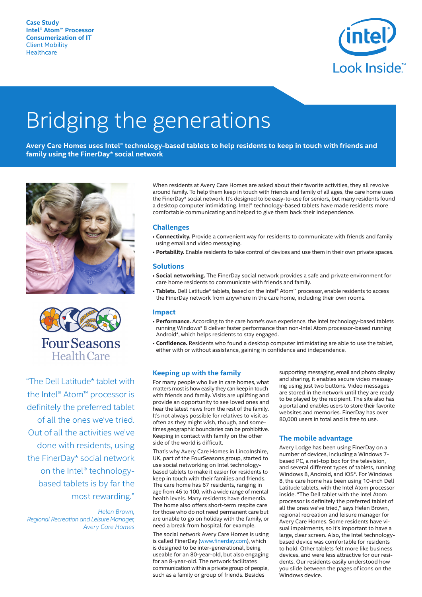

# Bridging the generations

**Avery Care Homes uses Intel® technology-based tablets to help residents to keep in touch with friends and family using the FinerDay\* social network**





"The Dell Latitude\* tablet with the Intel® Atom™ processor is definitely the preferred tablet of all the ones we've tried. Out of all the activities we've done with residents, using the FinerDay\* social network on the Intel® technologybased tablets is by far the most rewarding."

*Helen Brown, Regional Recreation and Leisure Manager, Avery Care Homes* When residents at Avery Care Homes are asked about their favorite activities, they all revolve around family. To help them keep in touch with friends and family of all ages, the care home uses the FinerDay\* social network. It's designed to be easy-to-use for seniors, but many residents found a desktop computer intimidating. Intel® technology-based tablets have made residents more comfortable communicating and helped to give them back their independence.

## **Challenges**

- **Connectivity.** Provide a convenient way for residents to communicate with friends and family using email and video messaging.
- **Portability.** Enable residents to take control of devices and use them in their own private spaces.

### **Solutions**

- **Social networking.** The FinerDay social network provides a safe and private environment for care home residents to communicate with friends and family.
- **Tablets.** Dell Latitude\* tablets, based on the Intel® Atom™ processor, enable residents to access the FinerDay network from anywhere in the care home, including their own rooms.

#### **Impact**

- **Performance.** According to the care home's own experience, the Intel technology-based tablets running Windows\* 8 deliver faster performance than non-Intel Atom processor-based running Android\*, which helps residents to stay engaged.
- **Confidence.** Residents who found a desktop computer intimidating are able to use the tablet, either with or without assistance, gaining in confidence and independence.

### **Keeping up with the family**

For many people who live in care homes, what matters mostis how easily they can keep in touch with friends and family. Visits are uplifting and provide an opportunity to see loved ones and hear the latest news from the rest of the family. It's not always possible for relatives to visit as often as they might wish, though, and sometimes geographic boundaries can be prohibitive. Keeping in contact with family on the other side of the world is difficult.

That's why Avery Care Homes in Lincolnshire, UK, part of the FourSeasons group, started to use social networking on Intel technologybased tablets to make it easier for residents to keep in touch with their families and friends. The care home has 67 residents, ranging in age from 46 to 100, with a wide range of mental health levels. Many residents have dementia. The home also offers short-term respite care for those who do not need permanent care but are unable to go on holiday with the family, or need a break from hospital, for example.

The social network Avery Care Homes is using is called FinerDay (www.finerday.com), which is designed to be inter-generational, being useable for an 80-year-old, but also engaging for an 8-year-old. The network facilitates communication within a private group of people, such as a family or group of friends. Besides

supporting messaging, email and photo display and sharing, it enables secure video messaging using just two buttons. Video messages are stored in the network until they are ready to be played by the recipient. The site also has a portal and enables users to store their favorite websites and memories. FinerDay has over 80,000 users in total and is free to use.

#### **The mobile advantage**

Avery Lodge has been using FinerDay on a number of devices, including a Windows 7 based PC, a net-top box for the television, and several different types of tablets, running Windows 8, Android, and iOS\*. For Windows 8, the care home has been using 10-inch Dell Latitude tablets, with the Intel Atom processor inside. "The Dell tablet with the Intel Atom processor is definitely the preferred tablet of all the ones we've tried," says Helen Brown, regional recreation and leisure manager for Avery Care Homes. Some residents have visual impairments, so it's important to have a large, clear screen. Also, the Intel technologybased device was comfortable for residents to hold. Other tablets felt more like business devices, and were less attractive for our residents. Our residents easily understood how you slide between the pages of icons on the Windows device.